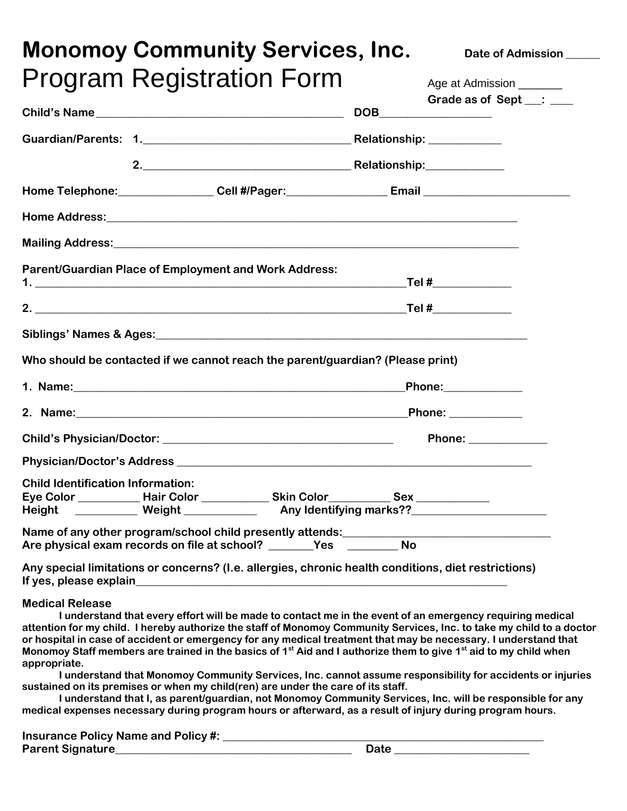|                                            | <b>Monomoy Community Services, Inc.</b>                                                                                                                                                                                              |  | Date of Admission _____                                                                                                                                                                                                                                                                                                                                                                                                                                                                                                                                                                                                                                                                                                    |
|--------------------------------------------|--------------------------------------------------------------------------------------------------------------------------------------------------------------------------------------------------------------------------------------|--|----------------------------------------------------------------------------------------------------------------------------------------------------------------------------------------------------------------------------------------------------------------------------------------------------------------------------------------------------------------------------------------------------------------------------------------------------------------------------------------------------------------------------------------------------------------------------------------------------------------------------------------------------------------------------------------------------------------------------|
|                                            | <b>Program Registration Form</b>                                                                                                                                                                                                     |  | Age at Admission ________                                                                                                                                                                                                                                                                                                                                                                                                                                                                                                                                                                                                                                                                                                  |
|                                            |                                                                                                                                                                                                                                      |  | Grade as of Sept __: __                                                                                                                                                                                                                                                                                                                                                                                                                                                                                                                                                                                                                                                                                                    |
|                                            |                                                                                                                                                                                                                                      |  |                                                                                                                                                                                                                                                                                                                                                                                                                                                                                                                                                                                                                                                                                                                            |
|                                            |                                                                                                                                                                                                                                      |  |                                                                                                                                                                                                                                                                                                                                                                                                                                                                                                                                                                                                                                                                                                                            |
|                                            |                                                                                                                                                                                                                                      |  |                                                                                                                                                                                                                                                                                                                                                                                                                                                                                                                                                                                                                                                                                                                            |
|                                            |                                                                                                                                                                                                                                      |  |                                                                                                                                                                                                                                                                                                                                                                                                                                                                                                                                                                                                                                                                                                                            |
|                                            |                                                                                                                                                                                                                                      |  |                                                                                                                                                                                                                                                                                                                                                                                                                                                                                                                                                                                                                                                                                                                            |
|                                            |                                                                                                                                                                                                                                      |  |                                                                                                                                                                                                                                                                                                                                                                                                                                                                                                                                                                                                                                                                                                                            |
|                                            | Parent/Guardian Place of Employment and Work Address:                                                                                                                                                                                |  |                                                                                                                                                                                                                                                                                                                                                                                                                                                                                                                                                                                                                                                                                                                            |
|                                            |                                                                                                                                                                                                                                      |  |                                                                                                                                                                                                                                                                                                                                                                                                                                                                                                                                                                                                                                                                                                                            |
|                                            |                                                                                                                                                                                                                                      |  |                                                                                                                                                                                                                                                                                                                                                                                                                                                                                                                                                                                                                                                                                                                            |
|                                            | Who should be contacted if we cannot reach the parent/guardian? (Please print)                                                                                                                                                       |  |                                                                                                                                                                                                                                                                                                                                                                                                                                                                                                                                                                                                                                                                                                                            |
|                                            | 1. Name: <u>2000 - 2000 - 2000 - 2000 - 2000 - 2000 - 2000 - 2000 - 2000 - 2000 - 2000 - 2000 - 2000 - 2000 - 2000 - 2000 - 2000 - 2000 - 2000 - 2000 - 2000 - 2000 - 2000 - 2000 - 2000 - 2000 - 2000 - 2000 - 2000 - 2000 - 20</u> |  | <b>Phone:____________</b> _                                                                                                                                                                                                                                                                                                                                                                                                                                                                                                                                                                                                                                                                                                |
|                                            | 2. Name: Phone: 2. Name: 2. Name: 2. Name: 2. Name: 2. Name: 2. Name: 2. Name: 2. Name: 2. Name: 2. Name: 2. Name: 2. Name: 2. Name: 2. Name: 2. Name: 2. Name: 2. Name: 2. Name: 2. Name: 2. Name: 2. Name: 2. Name: 2. Name:       |  |                                                                                                                                                                                                                                                                                                                                                                                                                                                                                                                                                                                                                                                                                                                            |
|                                            |                                                                                                                                                                                                                                      |  | Phone: _______________                                                                                                                                                                                                                                                                                                                                                                                                                                                                                                                                                                                                                                                                                                     |
|                                            |                                                                                                                                                                                                                                      |  |                                                                                                                                                                                                                                                                                                                                                                                                                                                                                                                                                                                                                                                                                                                            |
| <b>Child Identification Information:</b>   |                                                                                                                                                                                                                                      |  |                                                                                                                                                                                                                                                                                                                                                                                                                                                                                                                                                                                                                                                                                                                            |
|                                            | Eye Color _____________ Hair Color ______________ Skin Color____________ Sex _____________<br>Height ___________ Weight _____________ Any Identifying marks??_________________                                                       |  |                                                                                                                                                                                                                                                                                                                                                                                                                                                                                                                                                                                                                                                                                                                            |
|                                            |                                                                                                                                                                                                                                      |  |                                                                                                                                                                                                                                                                                                                                                                                                                                                                                                                                                                                                                                                                                                                            |
|                                            | Any special limitations or concerns? (I.e. allergies, chronic health conditions, diet restrictions)                                                                                                                                  |  |                                                                                                                                                                                                                                                                                                                                                                                                                                                                                                                                                                                                                                                                                                                            |
| <b>Medical Release</b><br>appropriate.     | sustained on its premises or when my child(ren) are under the care of its staff.<br>medical expenses necessary during program hours or afterward, as a result of injury during program hours.                                        |  | I understand that every effort will be made to contact me in the event of an emergency requiring medical<br>attention for my child. I hereby authorize the staff of Monomoy Community Services, Inc. to take my child to a doctor<br>or hospital in case of accident or emergency for any medical treatment that may be necessary. I understand that<br>Monomoy Staff members are trained in the basics of 1 <sup>st</sup> Aid and I authorize them to give 1 <sup>st</sup> aid to my child when<br>I understand that Monomoy Community Services, Inc. cannot assume responsibility for accidents or injuries<br>I understand that I, as parent/guardian, not Monomoy Community Services, Inc. will be responsible for any |
| <b>Insurance Policy Name and Policy #:</b> |                                                                                                                                                                                                                                      |  |                                                                                                                                                                                                                                                                                                                                                                                                                                                                                                                                                                                                                                                                                                                            |

**Parent Signature\_\_\_\_\_\_\_\_\_\_\_\_\_\_\_\_\_\_\_\_\_\_\_\_\_\_\_\_\_\_\_\_\_\_\_\_\_\_\_\_\_\_ Date \_\_\_\_\_\_\_\_\_\_\_\_\_\_\_\_\_\_\_\_\_\_\_\_**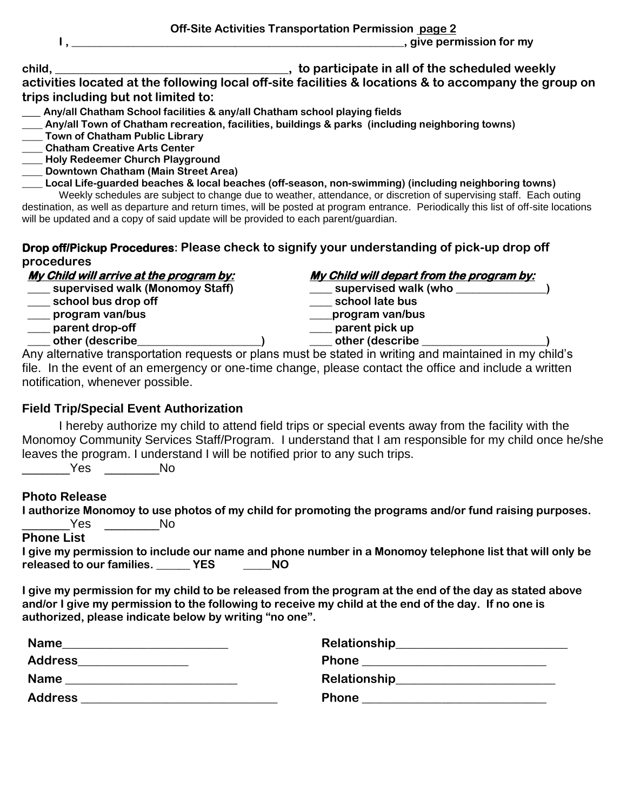|        | Off-Site Activities Transportation Permission page 2 |
|--------|------------------------------------------------------|
|        | , give permission for my                             |
| child. | to participate in all of the scheduled weekly        |

**activities located at the following local off-site facilities & locations & to accompany the group on trips including but not limited to:**

- **\_\_\_ Any/all Chatham School facilities & any/all Chatham school playing fields**
- **\_\_\_\_ Any/all Town of Chatham recreation, facilities, buildings & parks (including neighboring towns)**
- **\_\_\_\_ Town of Chatham Public Library**
- **\_\_\_\_ Chatham Creative Arts Center**
- **\_\_\_\_ Holy Redeemer Church Playground**
- **\_\_\_\_ Downtown Chatham (Main Street Area)**
- **\_\_\_\_ Local Life-guarded beaches & local beaches (off-season, non-swimming) (including neighboring towns)**

Weekly schedules are subject to change due to weather, attendance, or discretion of supervising staff. Each outing destination, as well as departure and return times, will be posted at program entrance. Periodically this list of off-site locations will be updated and a copy of said update will be provided to each parent/guardian.

## **Drop off/Pickup Procedures: Please check to signify your understanding of pick-up drop off procedures**

- $\frac{1}{2}$  school bus drop off
- **\_\_\_\_ program van/bus \_\_\_\_program van/bus**
- **\_\_\_\_ parent drop-off \_\_\_\_ parent pick up**
- **\_\_\_\_ other (describe\_\_\_\_\_\_\_\_\_\_\_\_\_\_\_\_\_\_\_\_\_\_) \_\_\_\_ other (describe \_\_\_\_\_\_\_\_\_\_\_\_\_\_\_\_\_\_\_\_\_\_)**

**My Child will arrive at the program by: My Child will depart from the program by:** 

- **\_\_\_\_ supervised walk (Monomoy Staff) \_\_\_\_ supervised walk (who \_\_\_\_\_\_\_\_\_\_\_\_\_\_\_\_)**
	-
	-
	-

Any alternative transportation requests or plans must be stated in writing and maintained in my child's file. In the event of an emergency or one-time change, please contact the office and include a written notification, whenever possible.

## **Field Trip/Special Event Authorization**

I hereby authorize my child to attend field trips or special events away from the facility with the Monomoy Community Services Staff/Program. I understand that I am responsible for my child once he/she leaves the program. I understand I will be notified prior to any such trips.

\_\_\_\_\_\_\_Yes \_\_\_\_\_\_\_\_No

## **Photo Release**

**I authorize Monomoy to use photos of my child for promoting the programs and/or fund raising purposes.** \_\_\_\_\_\_\_Yes \_\_\_\_\_\_\_\_No

**Phone List**

| I give my permission to include our name and phone number in a Monomoy telephone list that will only be |            |     |  |  |
|---------------------------------------------------------------------------------------------------------|------------|-----|--|--|
| released to our families.                                                                               | <b>YES</b> | NO. |  |  |

**I give my permission for my child to be released from the program at the end of the day as stated above and/or I give my permission to the following to receive my child at the end of the day. If no one is authorized, please indicate below by writing "no one".**

| <b>Name</b>    | Relationship                                                                                                          |
|----------------|-----------------------------------------------------------------------------------------------------------------------|
|                |                                                                                                                       |
| <b>Address</b> | <b>Phone</b>                                                                                                          |
|                | <u> 1980 - Andrea Andrew Maria (h. 1980).</u>                                                                         |
| <b>Name</b>    |                                                                                                                       |
| <b>Address</b> | <b>Phone</b>                                                                                                          |
|                | <u> 1989 - Johann Stoff, deutscher Stoff, der Stoff, der Stoff, der Stoff, der Stoff, der Stoff, der Stoff, der S</u> |